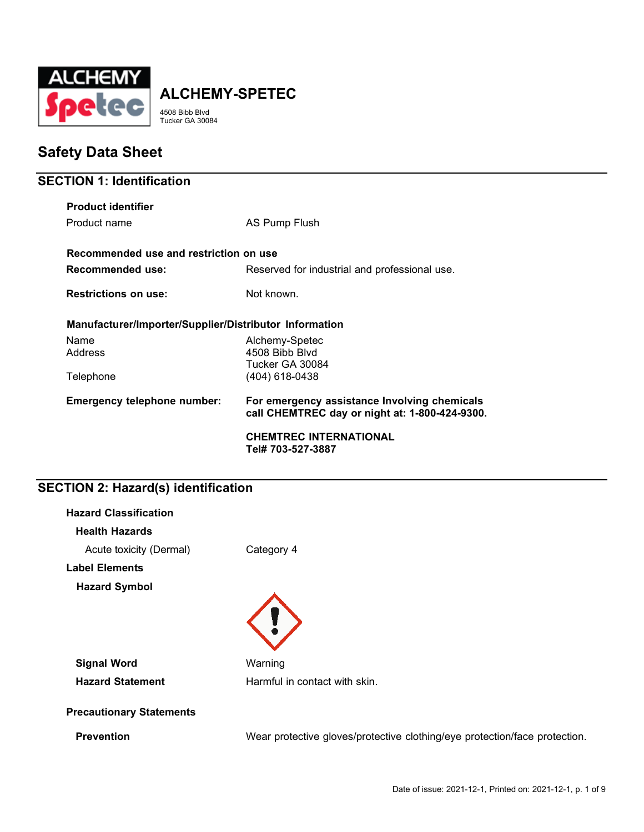

**ALCHEMY-SPETEC**

4508 Bibb Blvd Tucker GA 30084

**Safety Data Sheet**

# **SECTION 1: Identification**

| <b>Product identifier</b>                              |                                                                                                |  |
|--------------------------------------------------------|------------------------------------------------------------------------------------------------|--|
| Product name                                           | AS Pump Flush                                                                                  |  |
| Recommended use and restriction on use                 |                                                                                                |  |
| Recommended use:                                       | Reserved for industrial and professional use.                                                  |  |
| <b>Restrictions on use:</b>                            | Not known.                                                                                     |  |
| Manufacturer/Importer/Supplier/Distributor Information |                                                                                                |  |
| Name<br>Address                                        | Alchemy-Spetec<br>4508 Bibb Blvd                                                               |  |
| Telephone                                              | Tucker GA 30084<br>(404) 618-0438                                                              |  |
| Emergency telephone number:                            | For emergency assistance Involving chemicals<br>call CHEMTREC day or night at: 1-800-424-9300. |  |
|                                                        | <b>CHEMTREC INTERNATIONAL</b><br>Tel# 703-527-3887                                             |  |

# **SECTION 2: Hazard(s) identification**

| <b>Hazard Classification</b>    |                                                                            |
|---------------------------------|----------------------------------------------------------------------------|
| <b>Health Hazards</b>           |                                                                            |
| Acute toxicity (Dermal)         | Category 4                                                                 |
| <b>Label Elements</b>           |                                                                            |
| <b>Hazard Symbol</b>            |                                                                            |
|                                 |                                                                            |
| <b>Signal Word</b>              | Warning                                                                    |
| <b>Hazard Statement</b>         | Harmful in contact with skin.                                              |
| <b>Precautionary Statements</b> |                                                                            |
| <b>Prevention</b>               | Wear protective gloves/protective clothing/eye protection/face protection. |
|                                 |                                                                            |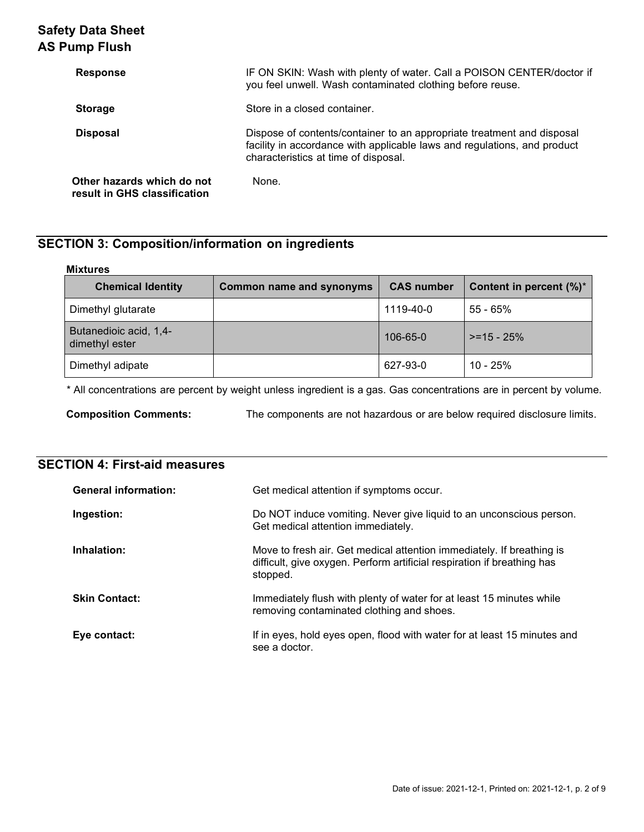# **Safety Data Sheet AS Pump Flush**

| <b>Response</b>                                            | IF ON SKIN: Wash with plenty of water. Call a POISON CENTER/doctor if<br>you feel unwell. Wash contaminated clothing before reuse.                                                         |
|------------------------------------------------------------|--------------------------------------------------------------------------------------------------------------------------------------------------------------------------------------------|
| <b>Storage</b>                                             | Store in a closed container.                                                                                                                                                               |
| <b>Disposal</b>                                            | Dispose of contents/container to an appropriate treatment and disposal<br>facility in accordance with applicable laws and regulations, and product<br>characteristics at time of disposal. |
| Other hazards which do not<br>result in GHS classification | None.                                                                                                                                                                                      |

# **SECTION 3: Composition/information on ingredients**

| <b>Mixtures</b>                          |                                 |                   |                             |
|------------------------------------------|---------------------------------|-------------------|-----------------------------|
| <b>Chemical Identity</b>                 | <b>Common name and synonyms</b> | <b>CAS number</b> | Content in percent $(\%)^*$ |
| Dimethyl glutarate                       |                                 | 1119-40-0         | $55 - 65%$                  |
| Butanedioic acid, 1,4-<br>dimethyl ester |                                 | 106-65-0          | $>= 15 - 25%$               |
| Dimethyl adipate                         |                                 | 627-93-0          | $10 - 25%$                  |

\* All concentrations are percent by weight unless ingredient is a gas. Gas concentrations are in percent by volume.

**Composition Comments:** The components are not hazardous or are below required disclosure limits.

# **SECTION 4: First-aid measures**

| <b>General information:</b> | Get medical attention if symptoms occur.                                                                                                                     |
|-----------------------------|--------------------------------------------------------------------------------------------------------------------------------------------------------------|
| Ingestion:                  | Do NOT induce vomiting. Never give liquid to an unconscious person.<br>Get medical attention immediately.                                                    |
| Inhalation:                 | Move to fresh air. Get medical attention immediately. If breathing is<br>difficult, give oxygen. Perform artificial respiration if breathing has<br>stopped. |
| <b>Skin Contact:</b>        | Immediately flush with plenty of water for at least 15 minutes while<br>removing contaminated clothing and shoes.                                            |
| Eye contact:                | If in eyes, hold eyes open, flood with water for at least 15 minutes and<br>see a doctor.                                                                    |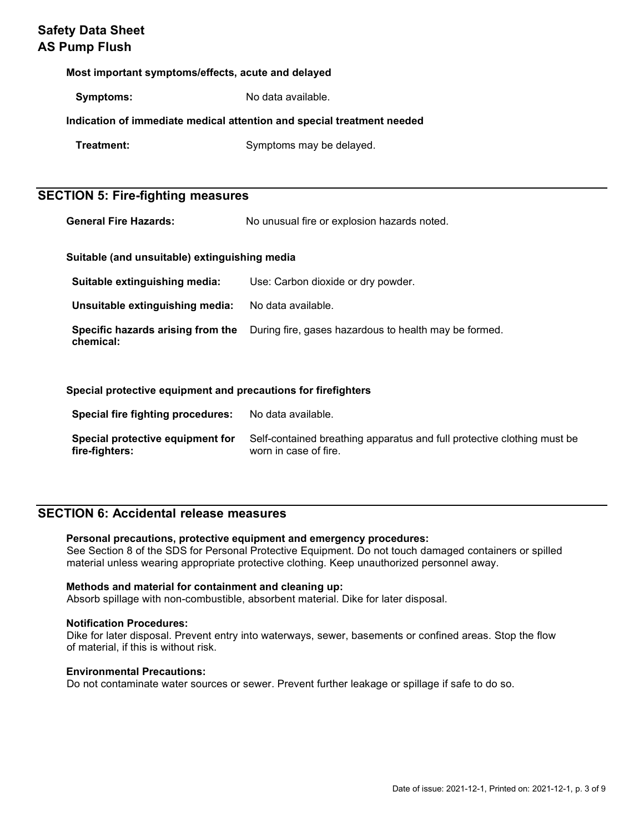# **Safety Data Sheet AS Pump Flush**

### **Most important symptoms/effects, acute and delayed**

**Symptoms:** No data available.

## **Indication of immediate medical attention and special treatment needed**

**Treatment:** Symptoms may be delayed.

## **SECTION 5: Fire-fighting measures**

**General Fire Hazards:** No unusual fire or explosion hazards noted.

## **Suitable (and unsuitable) extinguishing media**

**Suitable extinguishing media:** Use: Carbon dioxide or dry powder.

**Unsuitable extinguishing media:** No data available.

**Specific hazards arising from the**  During fire, gases hazardous to health may be formed. **chemical:**

### **Special protective equipment and precautions for firefighters**

| Special fire fighting procedures: | No data available.                                                      |
|-----------------------------------|-------------------------------------------------------------------------|
| Special protective equipment for  | Self-contained breathing apparatus and full protective clothing must be |
| fire-fighters:                    | worn in case of fire.                                                   |

## **SECTION 6: Accidental release measures**

### **Personal precautions, protective equipment and emergency procedures:**

See Section 8 of the SDS for Personal Protective Equipment. Do not touch damaged containers or spilled material unless wearing appropriate protective clothing. Keep unauthorized personnel away.

### **Methods and material for containment and cleaning up:**

Absorb spillage with non-combustible, absorbent material. Dike for later disposal.

#### **Notification Procedures:**

Dike for later disposal. Prevent entry into waterways, sewer, basements or confined areas. Stop the flow of material, if this is without risk.

#### **Environmental Precautions:**

Do not contaminate water sources or sewer. Prevent further leakage or spillage if safe to do so.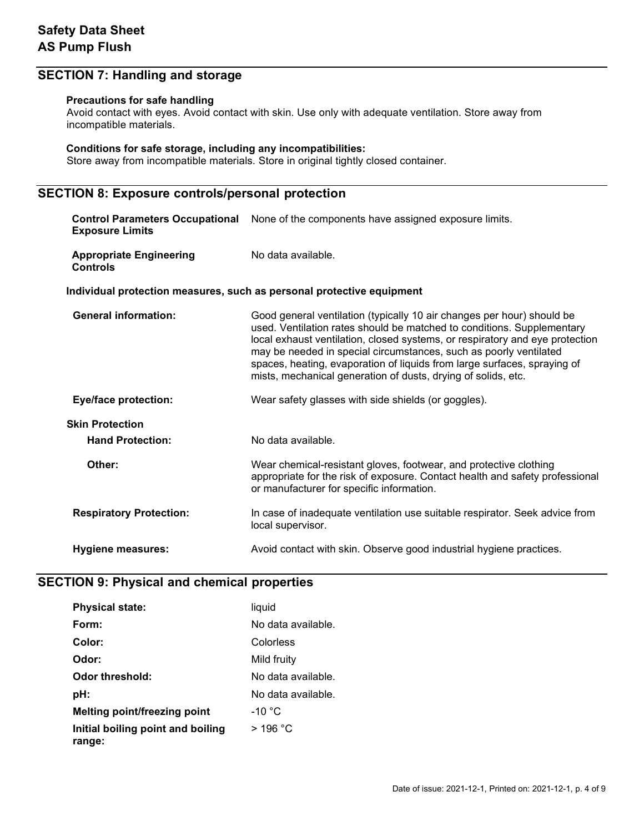## **SECTION 7: Handling and storage**

### **Precautions for safe handling**

Avoid contact with eyes. Avoid contact with skin. Use only with adequate ventilation. Store away from incompatible materials.

## **Conditions for safe storage, including any incompatibilities:**

Store away from incompatible materials. Store in original tightly closed container.

# **SECTION 8: Exposure controls/personal protection**

| <b>Control Parameters Occupational</b><br><b>Exposure Limits</b>      | None of the components have assigned exposure limits.                                                                                                                                                                                                                                                                                                                                                                                              |  |
|-----------------------------------------------------------------------|----------------------------------------------------------------------------------------------------------------------------------------------------------------------------------------------------------------------------------------------------------------------------------------------------------------------------------------------------------------------------------------------------------------------------------------------------|--|
| <b>Appropriate Engineering</b><br><b>Controls</b>                     | No data available.                                                                                                                                                                                                                                                                                                                                                                                                                                 |  |
| Individual protection measures, such as personal protective equipment |                                                                                                                                                                                                                                                                                                                                                                                                                                                    |  |
| <b>General information:</b>                                           | Good general ventilation (typically 10 air changes per hour) should be<br>used. Ventilation rates should be matched to conditions. Supplementary<br>local exhaust ventilation, closed systems, or respiratory and eye protection<br>may be needed in special circumstances, such as poorly ventilated<br>spaces, heating, evaporation of liquids from large surfaces, spraying of<br>mists, mechanical generation of dusts, drying of solids, etc. |  |
| Eye/face protection:                                                  | Wear safety glasses with side shields (or goggles).                                                                                                                                                                                                                                                                                                                                                                                                |  |
| <b>Skin Protection</b>                                                |                                                                                                                                                                                                                                                                                                                                                                                                                                                    |  |
| <b>Hand Protection:</b>                                               | No data available.                                                                                                                                                                                                                                                                                                                                                                                                                                 |  |
| Other:                                                                | Wear chemical-resistant gloves, footwear, and protective clothing<br>appropriate for the risk of exposure. Contact health and safety professional<br>or manufacturer for specific information.                                                                                                                                                                                                                                                     |  |
| <b>Respiratory Protection:</b>                                        | In case of inadequate ventilation use suitable respirator. Seek advice from<br>local supervisor.                                                                                                                                                                                                                                                                                                                                                   |  |
| Hygiene measures:                                                     | Avoid contact with skin. Observe good industrial hygiene practices.                                                                                                                                                                                                                                                                                                                                                                                |  |

# **SECTION 9: Physical and chemical properties**

| <b>Physical state:</b>                      | liquid             |
|---------------------------------------------|--------------------|
| Form:                                       | No data available. |
| Color:                                      | Colorless          |
| Odor:                                       | Mild fruity        |
| Odor threshold:                             | No data available. |
| pH:                                         | No data available. |
| <b>Melting point/freezing point</b>         | $-10 °C$           |
| Initial boiling point and boiling<br>range: | > 196 °C           |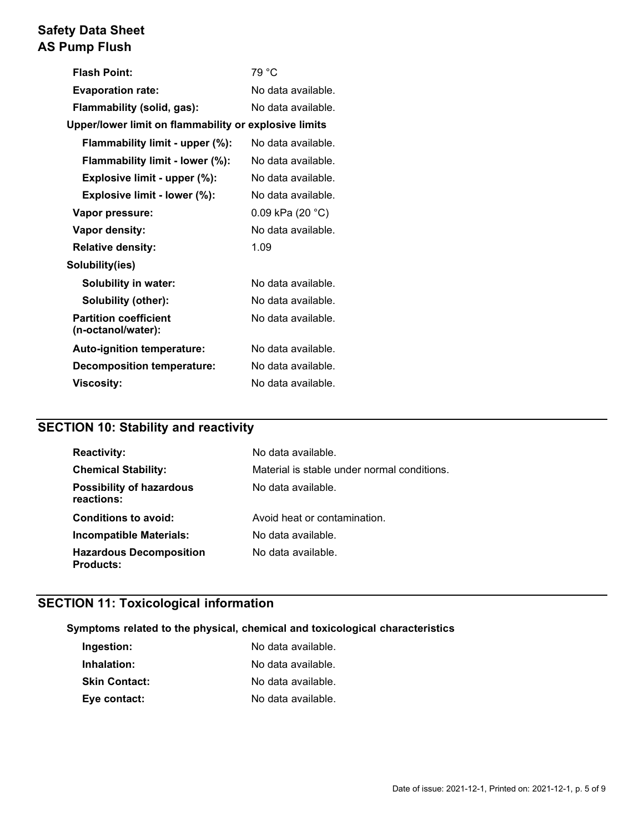# **Safety Data Sheet AS Pump Flush**

| 79 °C                                                 |
|-------------------------------------------------------|
| No data available.                                    |
| No data available.                                    |
| Upper/lower limit on flammability or explosive limits |
| No data available.                                    |
| No data available.                                    |
| No data available.                                    |
| No data available.                                    |
| 0.09 kPa $(20 °C)$                                    |
| No data available.                                    |
| 1.09                                                  |
|                                                       |
| No data available.                                    |
| No data available.                                    |
| No data available.                                    |
| No data available.                                    |
| No data available.                                    |
| No data available.                                    |
|                                                       |

# **SECTION 10: Stability and reactivity**

| <b>Reactivity:</b>                                 | No data available.                          |
|----------------------------------------------------|---------------------------------------------|
| <b>Chemical Stability:</b>                         | Material is stable under normal conditions. |
| <b>Possibility of hazardous</b><br>reactions:      | No data available.                          |
| <b>Conditions to avoid:</b>                        | Avoid heat or contamination.                |
| <b>Incompatible Materials:</b>                     | No data available.                          |
| <b>Hazardous Decomposition</b><br><b>Products:</b> | No data available.                          |

# **SECTION 11: Toxicological information**

## **Symptoms related to the physical, chemical and toxicological characteristics**

| Ingestion:           | No data available. |
|----------------------|--------------------|
| Inhalation:          | No data available. |
| <b>Skin Contact:</b> | No data available. |
| Eye contact:         | No data available. |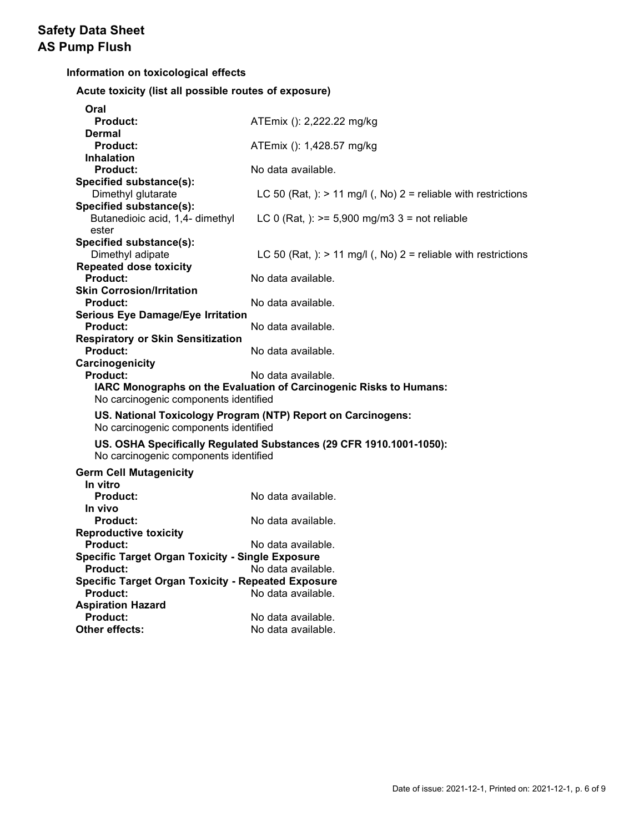## **Information on toxicological effects**

**Acute toxicity (list all possible routes of exposure)**

| Oral                                                      |                                                                     |
|-----------------------------------------------------------|---------------------------------------------------------------------|
| <b>Product:</b>                                           | ATEmix (): 2,222.22 mg/kg                                           |
| <b>Dermal</b>                                             |                                                                     |
| <b>Product:</b>                                           | ATEmix (): 1,428.57 mg/kg                                           |
| <b>Inhalation</b>                                         |                                                                     |
| <b>Product:</b>                                           | No data available.                                                  |
| Specified substance(s):                                   |                                                                     |
| Dimethyl glutarate                                        | LC 50 (Rat, ): $> 11$ mg/l (, No) 2 = reliable with restrictions    |
| Specified substance(s):                                   |                                                                     |
| Butanedioic acid, 1,4- dimethyl                           | LC 0 (Rat, ): $>= 5,900$ mg/m3 3 = not reliable                     |
| ester                                                     |                                                                     |
| Specified substance(s):                                   |                                                                     |
| Dimethyl adipate                                          | LC 50 (Rat, ): $> 11$ mg/l (, No) 2 = reliable with restrictions    |
| <b>Repeated dose toxicity</b>                             |                                                                     |
| <b>Product:</b>                                           | No data available.                                                  |
| <b>Skin Corrosion/Irritation</b>                          |                                                                     |
| <b>Product:</b>                                           | No data available.                                                  |
| <b>Serious Eye Damage/Eye Irritation</b>                  |                                                                     |
| <b>Product:</b>                                           | No data available.                                                  |
| <b>Respiratory or Skin Sensitization</b>                  |                                                                     |
| <b>Product:</b>                                           | No data available.                                                  |
| Carcinogenicity                                           |                                                                     |
| <b>Product:</b>                                           | No data available.                                                  |
|                                                           | IARC Monographs on the Evaluation of Carcinogenic Risks to Humans:  |
| No carcinogenic components identified                     |                                                                     |
|                                                           | US. National Toxicology Program (NTP) Report on Carcinogens:        |
| No carcinogenic components identified                     |                                                                     |
|                                                           | US. OSHA Specifically Regulated Substances (29 CFR 1910.1001-1050): |
| No carcinogenic components identified                     |                                                                     |
| <b>Germ Cell Mutagenicity</b>                             |                                                                     |
| In vitro                                                  |                                                                     |
| <b>Product:</b>                                           | No data available.                                                  |
| In vivo                                                   |                                                                     |
| <b>Product:</b>                                           | No data available.                                                  |
| <b>Reproductive toxicity</b>                              |                                                                     |
| <b>Product:</b>                                           | No data available.                                                  |
| <b>Specific Target Organ Toxicity - Single Exposure</b>   |                                                                     |
| <b>Product:</b>                                           | No data available.                                                  |
| <b>Specific Target Organ Toxicity - Repeated Exposure</b> |                                                                     |
| <b>Product:</b>                                           | No data available.                                                  |
| <b>Aspiration Hazard</b>                                  |                                                                     |
| <b>Product:</b>                                           | No data available.                                                  |
| Other effects:                                            | No data available.                                                  |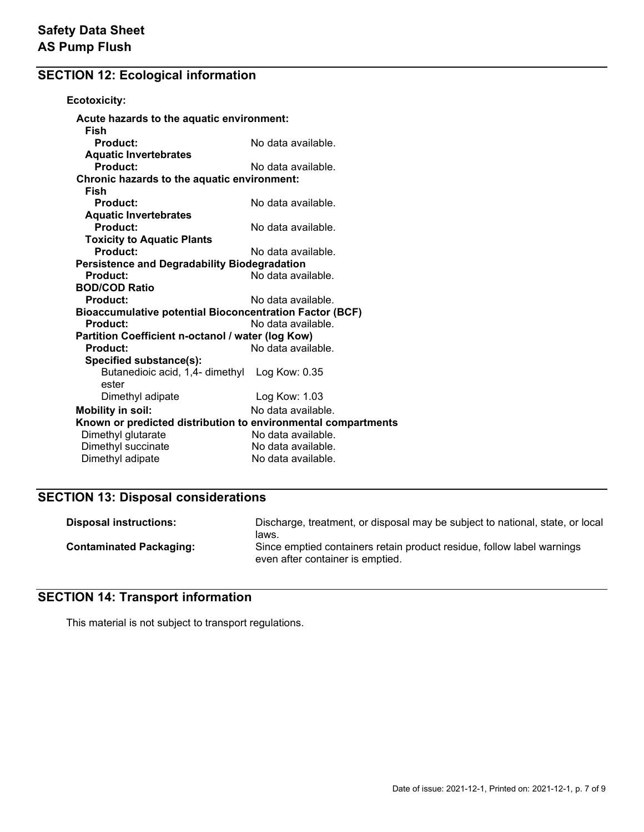# **SECTION 12: Ecological information**

| <b>Ecotoxicity:</b>                                            |                    |  |
|----------------------------------------------------------------|--------------------|--|
| Acute hazards to the aquatic environment:<br>Fish              |                    |  |
| Product:                                                       | No data available. |  |
| <b>Aquatic Invertebrates</b>                                   |                    |  |
| Product:                                                       | No data available. |  |
| Chronic hazards to the aquatic environment:                    |                    |  |
| Fish                                                           |                    |  |
| Product:                                                       | No data available. |  |
| <b>Aquatic Invertebrates</b>                                   |                    |  |
| Product:                                                       | No data available. |  |
| <b>Toxicity to Aquatic Plants</b>                              |                    |  |
| Product:                                                       | No data available. |  |
| <b>Persistence and Degradability Biodegradation</b>            |                    |  |
| Product:                                                       | No data available. |  |
| <b>BOD/COD Ratio</b>                                           |                    |  |
| Product:                                                       | No data available. |  |
| <b>Bioaccumulative potential Bioconcentration Factor (BCF)</b> |                    |  |
| Product:                                                       | No data available. |  |
| Partition Coefficient n-octanol / water (log Kow)              |                    |  |
| Product:                                                       | No data available. |  |
| Specified substance(s):                                        |                    |  |
| Butanedioic acid, 1,4- dimethyl Log Kow: 0.35                  |                    |  |
| ester                                                          |                    |  |
| Dimethyl adipate                                               | Log Kow: 1.03      |  |
| <b>Mobility in soil:</b>                                       | No data available. |  |
| Known or predicted distribution to environmental compartments  |                    |  |
| Dimethyl glutarate                                             | No data available. |  |
| Dimethyl succinate                                             | No data available. |  |
| Dimethyl adipate                                               | No data available. |  |
|                                                                |                    |  |

# **SECTION 13: Disposal considerations**

| <b>Disposal instructions:</b>  | Discharge, treatment, or disposal may be subject to national, state, or local<br>laws.                     |
|--------------------------------|------------------------------------------------------------------------------------------------------------|
| <b>Contaminated Packaging:</b> | Since emptied containers retain product residue, follow label warnings<br>even after container is emptied. |

# **SECTION 14: Transport information**

This material is not subject to transport regulations.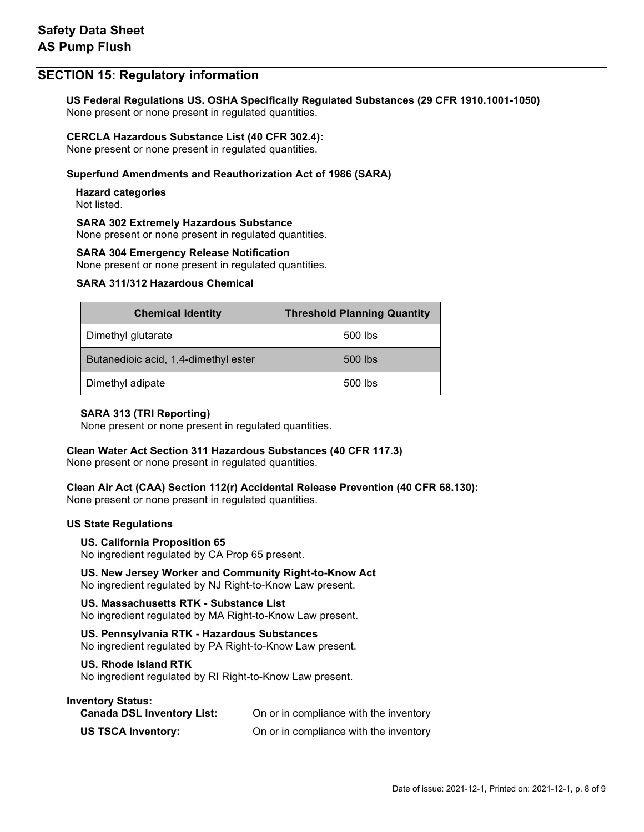## **SECTION 15: Regulatory information**

**US Federal Regulations US. OSHA Specifically Regulated Substances (29 CFR 1910.1001-1050)** None present or none present in regulated quantities.

### **CERCLA Hazardous Substance List (40 CFR 302.4):**

None present or none present in regulated quantities.

## **Superfund Amendments and Reauthorization Act of 1986 (SARA)**

**Hazard categories** Not listed.

#### **SARA 302 Extremely Hazardous Substance**

None present or none present in regulated quantities.

#### **SARA 304 Emergency Release Notification**

None present or none present in regulated quantities.

## **SARA 311/312 Hazardous Chemical**

| <b>Chemical Identity</b>             | <b>Threshold Planning Quantity</b> |
|--------------------------------------|------------------------------------|
| Dimethyl glutarate                   | 500 lbs                            |
| Butanedioic acid, 1,4-dimethyl ester | 500 lbs                            |
| Dimethyl adipate                     | 500 lbs                            |

### **SARA 313 (TRI Reporting)**

None present or none present in regulated quantities.

### **Clean Water Act Section 311 Hazardous Substances (40 CFR 117.3)**

None present or none present in regulated quantities.

**Clean Air Act (CAA) Section 112(r) Accidental Release Prevention (40 CFR 68.130):**

None present or none present in regulated quantities.

### **US State Regulations**

### **US. California Proposition 65**

No ingredient regulated by CA Prop 65 present.

**US. New Jersey Worker and Community Right-to-Know Act** No ingredient regulated by NJ Right-to-Know Law present.

#### **US. Massachusetts RTK - Substance List**

No ingredient regulated by MA Right-to-Know Law present.

**US. Pennsylvania RTK - Hazardous Substances** No ingredient regulated by PA Right-to-Know Law present.

#### **US. Rhode Island RTK**

No ingredient regulated by RI Right-to-Know Law present.

#### **Inventory Status:**

| <b>Canada DSL Inventory List:</b> | On or in compliance with the inventory |
|-----------------------------------|----------------------------------------|
| <b>US TSCA Inventory:</b>         | On or in compliance with the inventory |